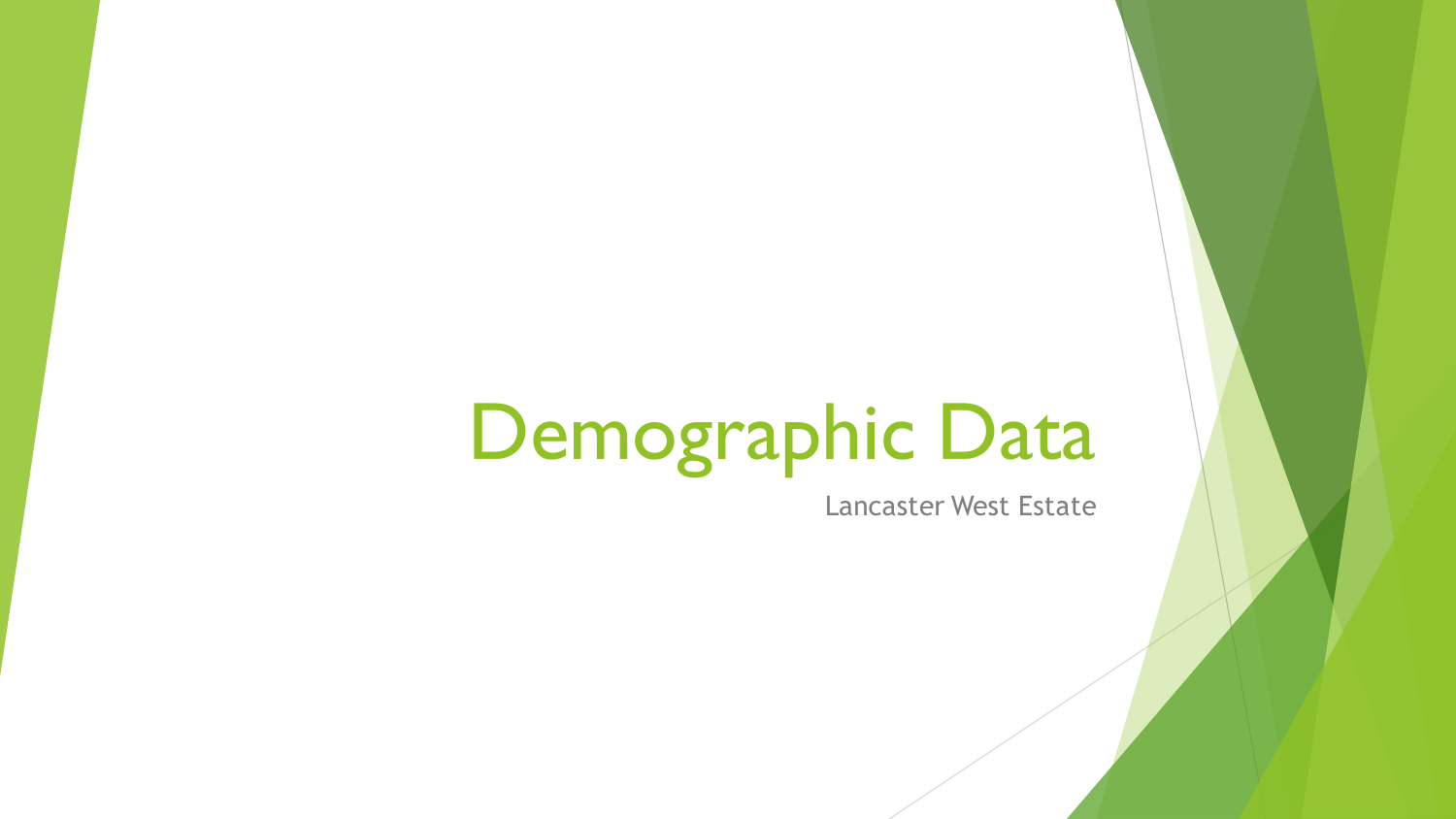# Demographic Data

Lancaster West Estate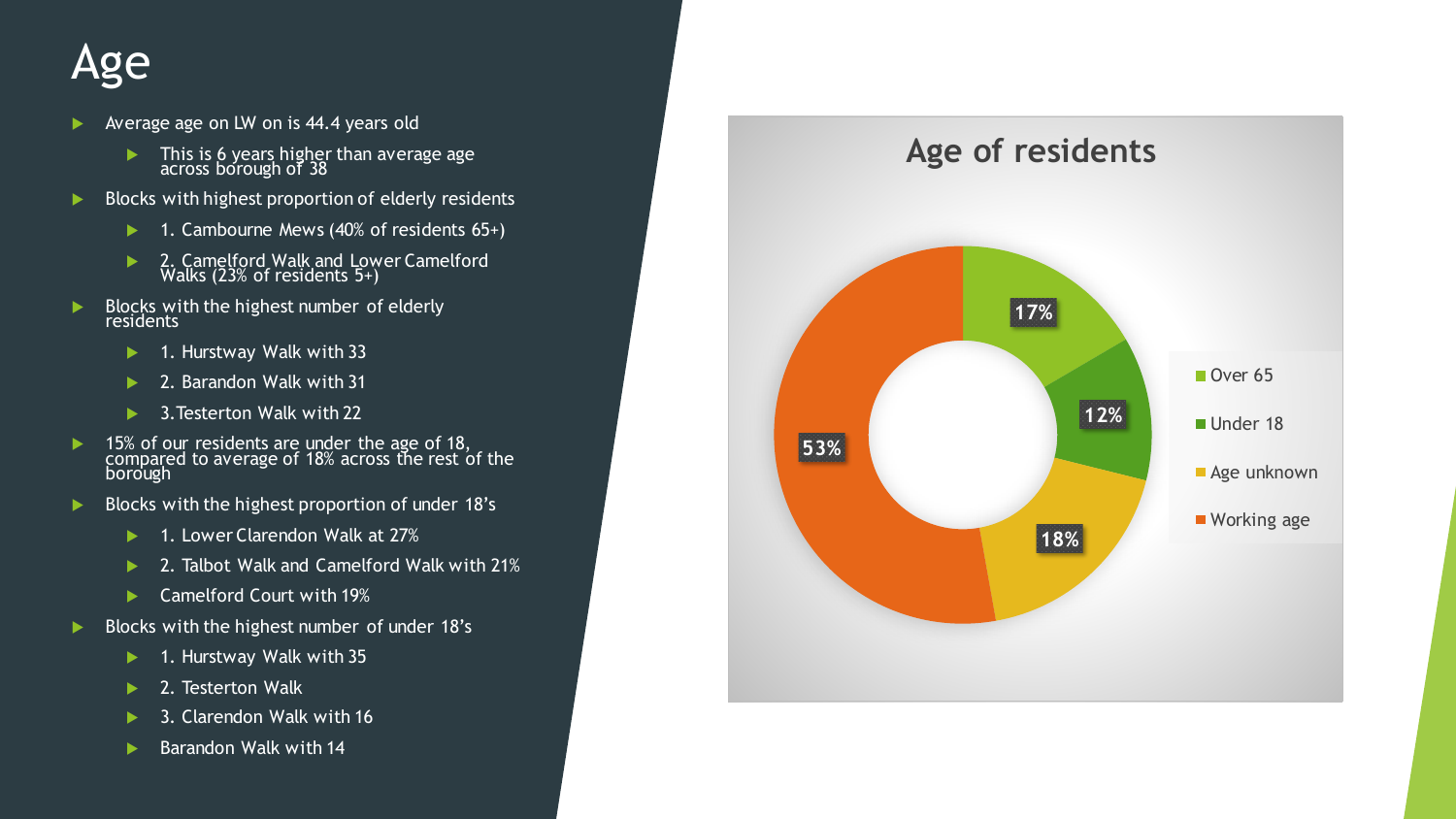#### Age

- Average age on LW on is 44.4 years old
	- $\blacktriangleright$  This is 6 years higher than average age across borough of 38
- $\blacktriangleright$  Blocks with highest proportion of elderly residents
	- ▶ 1. Cambourne Mews (40% of residents 65+)
	- ▶ 2. Camelford Walk and Lower Camelford Walks (23% of residents 5+)
- $\blacktriangleright$  Blocks with the highest number of elderly residents
	- $\blacktriangleright$  1. Hurstway Walk with 33
	- ▶ 2. Barandon Walk with 31
	- ▶ 3. Testerton Walk with 22
- ▶ 15% of our residents are under the age of 18, compared to average of 18% across the rest of the borough
- $\blacktriangleright$  Blocks with the highest proportion of under 18's
	- ▶ 1. Lower Clarendon Walk at 27%
	- ▶ 2. Talbot Walk and Camelford Walk with 21%
	- ▶ Camelford Court with 19%
- $\blacktriangleright$  Blocks with the highest number of under 18's
	- $\blacktriangleright$  1. Hurstway Walk with 35
	- 2. Testerton Walk
	- **3. Clarendon Walk with 16**
	- Barandon Walk with 14

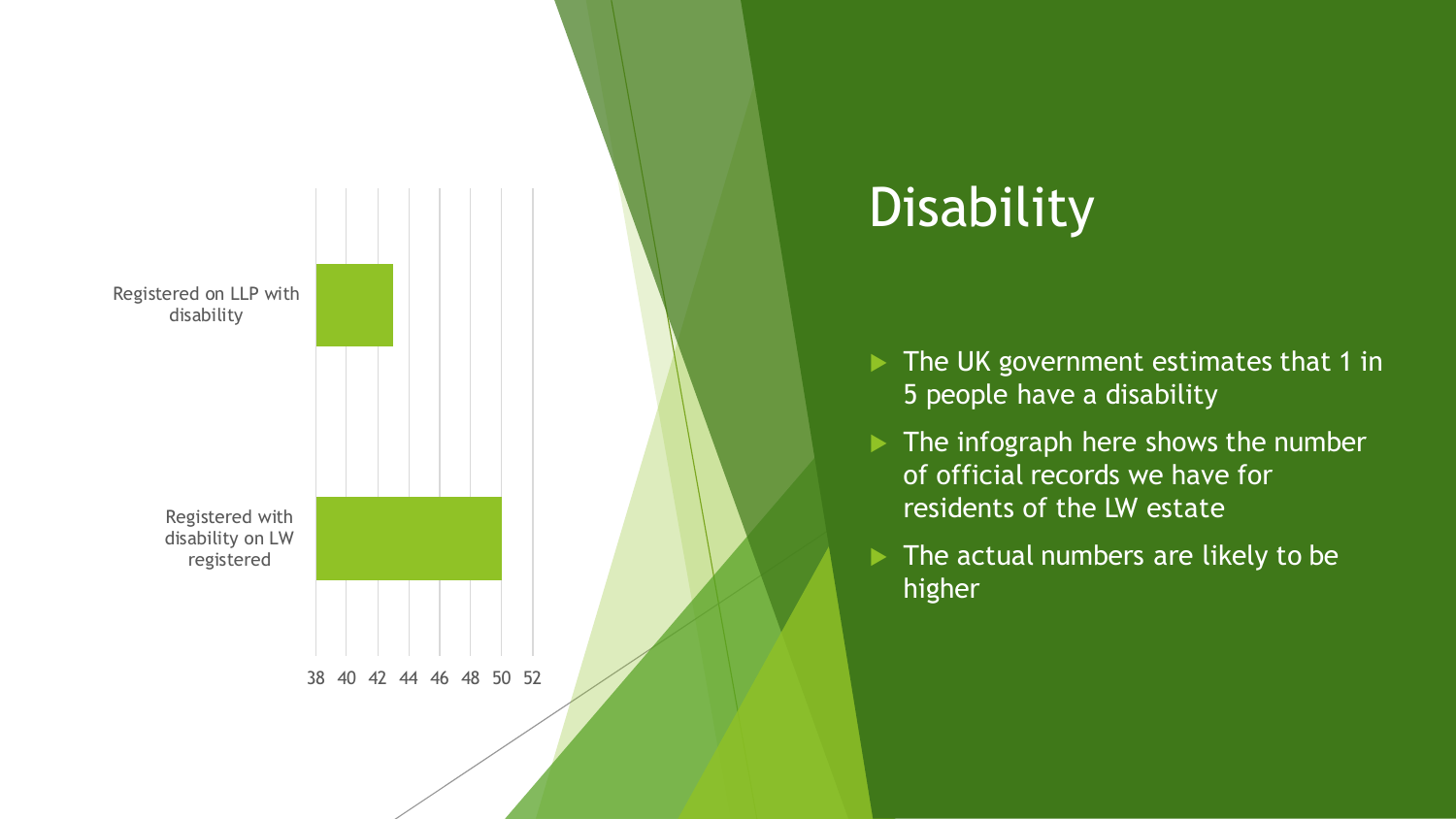

# **Disability**

- $\blacktriangleright$  The UK government estimates that 1 in 5 people have a disability
- $\blacktriangleright$  The infograph here shows the number of official records we have for residents of the LW estate
- $\blacktriangleright$  The actual numbers are likely to be higher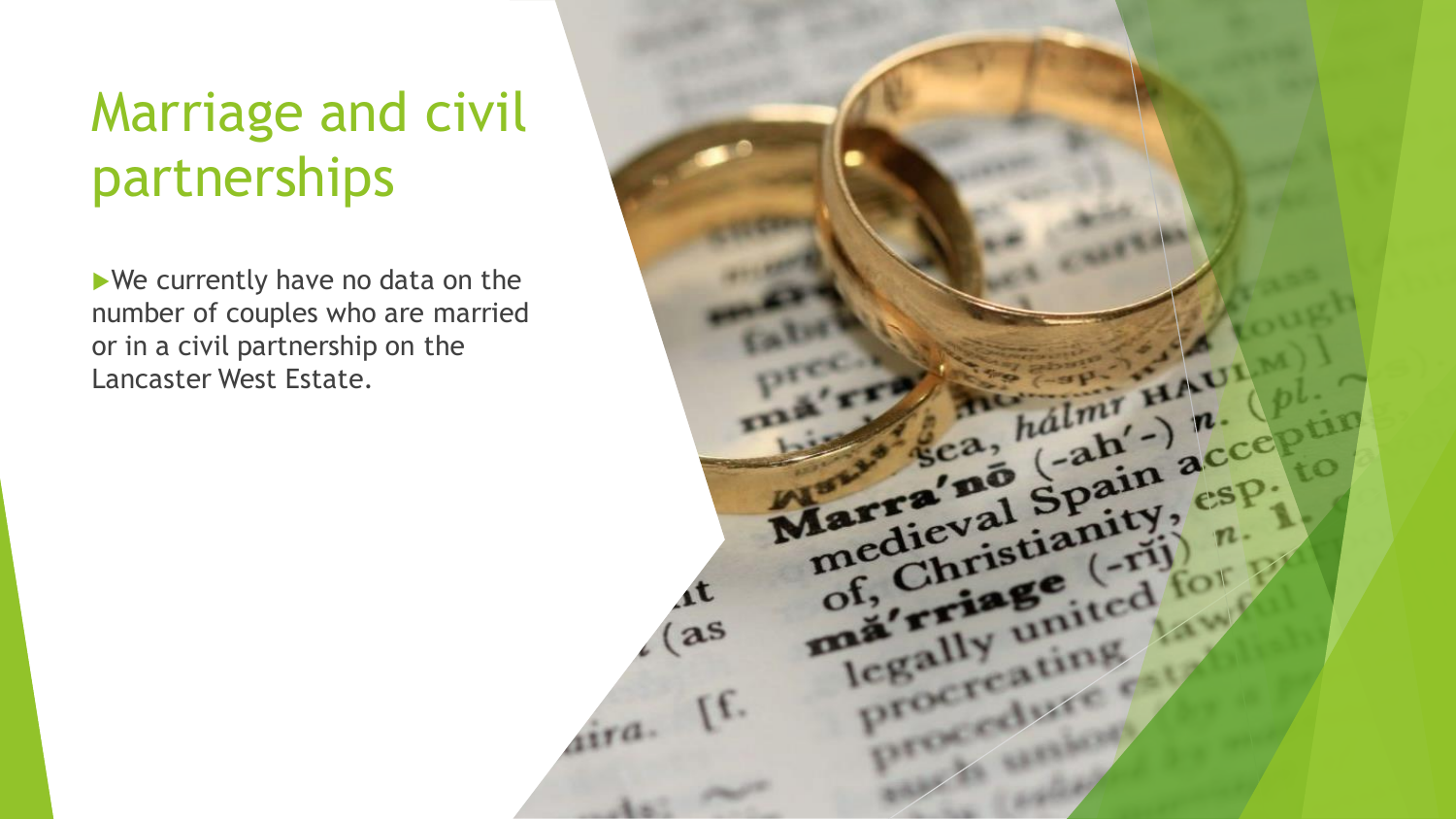# Marriage and civil partnerships

We currently have no data on the number of couples who are married or in a civil partnership on the Lancaster West Estate.

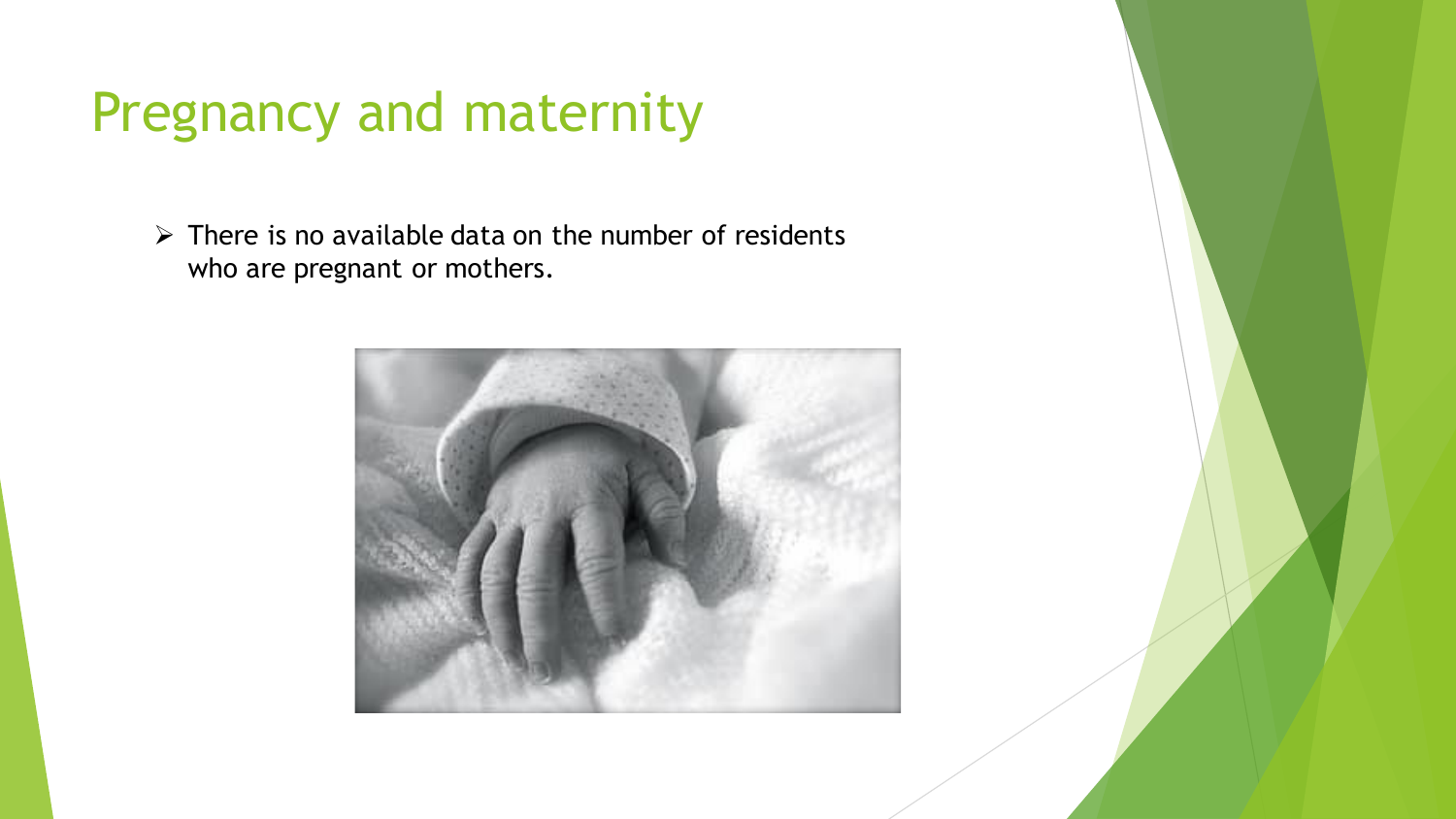### Pregnancy and maternity

 $\triangleright$  There is no available data on the number of residents who are pregnant or mothers.

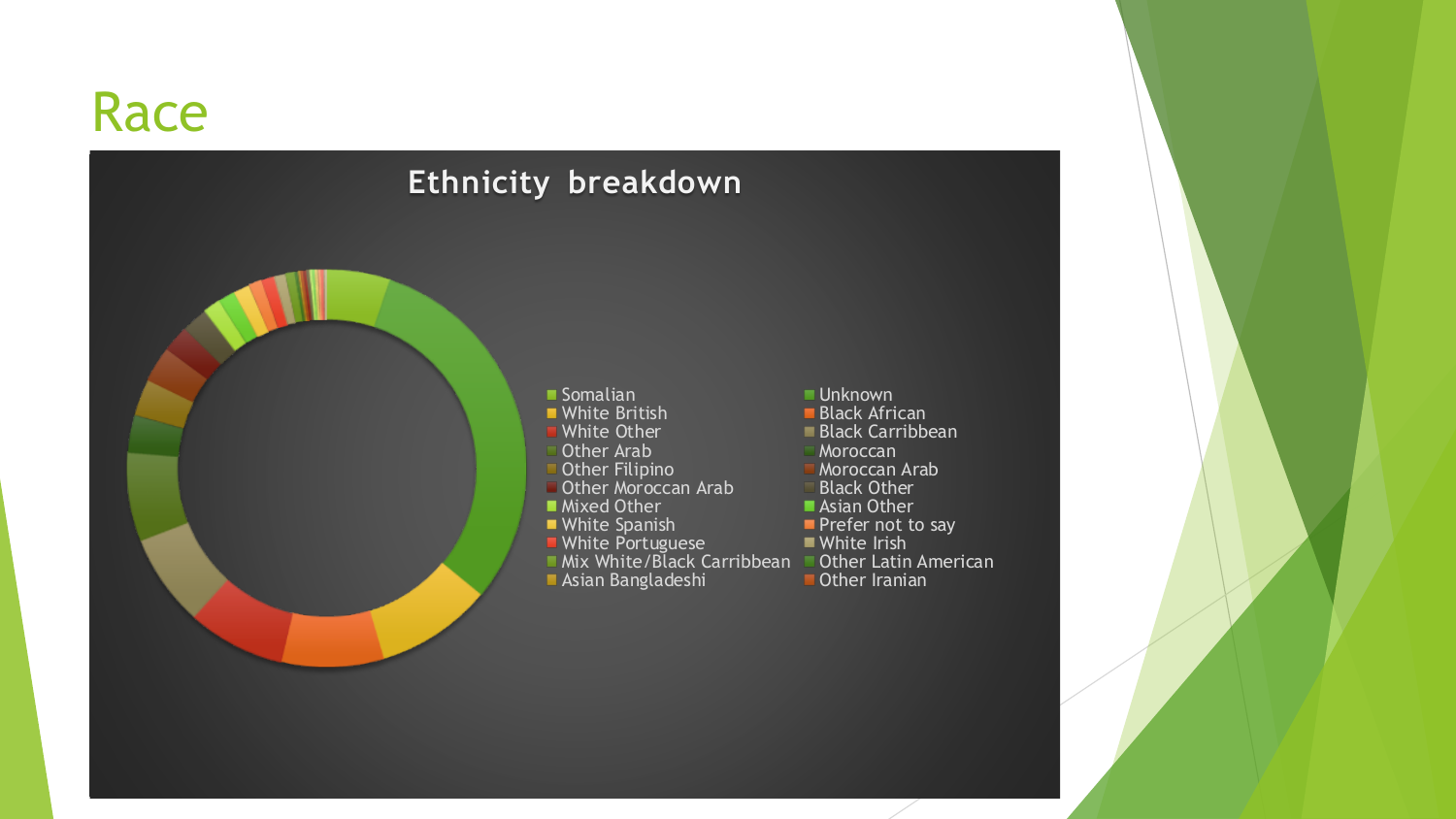#### Race

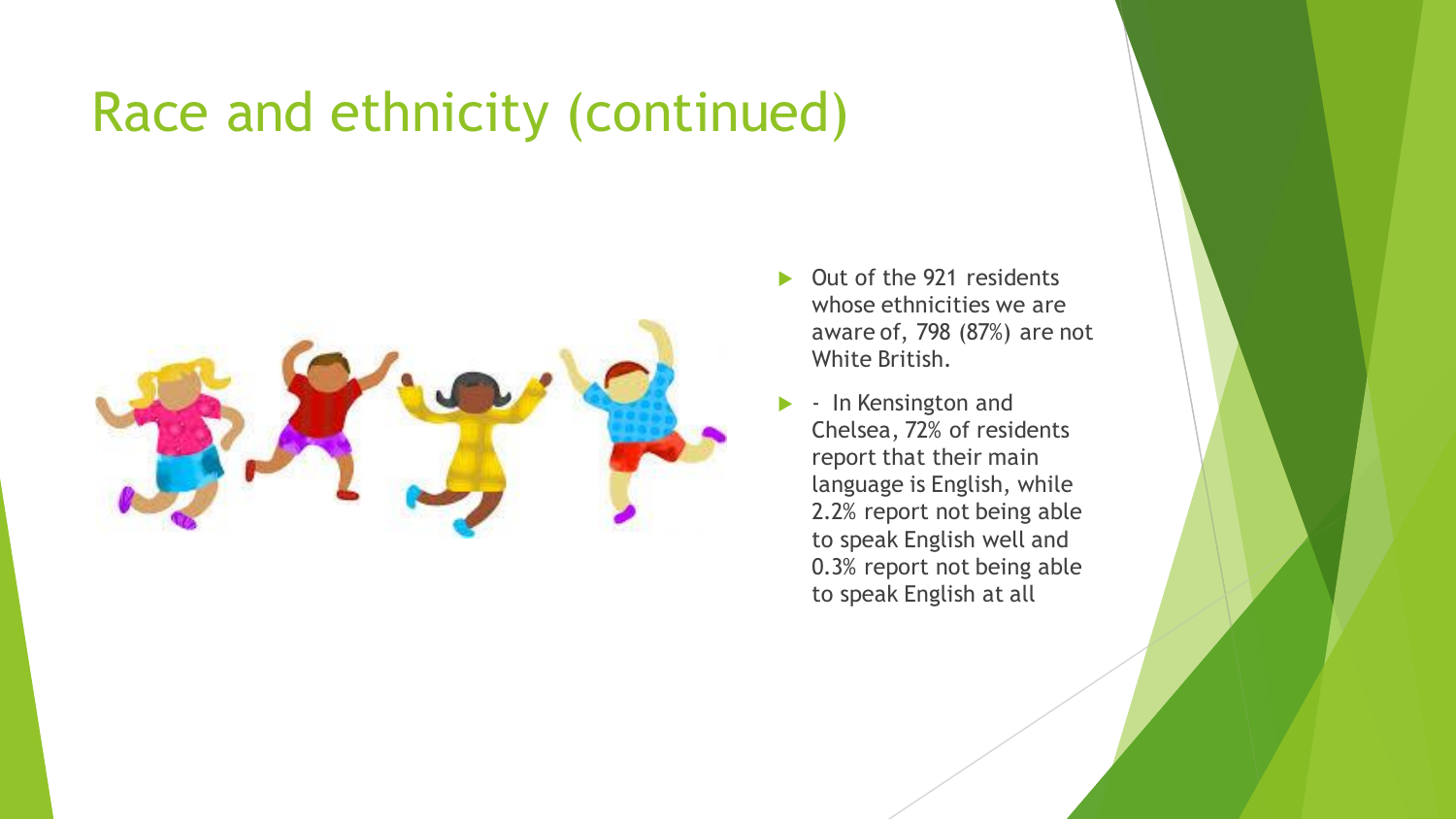## Race and ethnicity (continued)



- ▶ Out of the 921 residents whose ethnicities we are aware of, 798 (87%) are not White British.
- In Kensington and Chelsea, 72% of residents report that their main language is English, while 2.2% report not being able to speak English well and 0.3% report not being able to speak English at all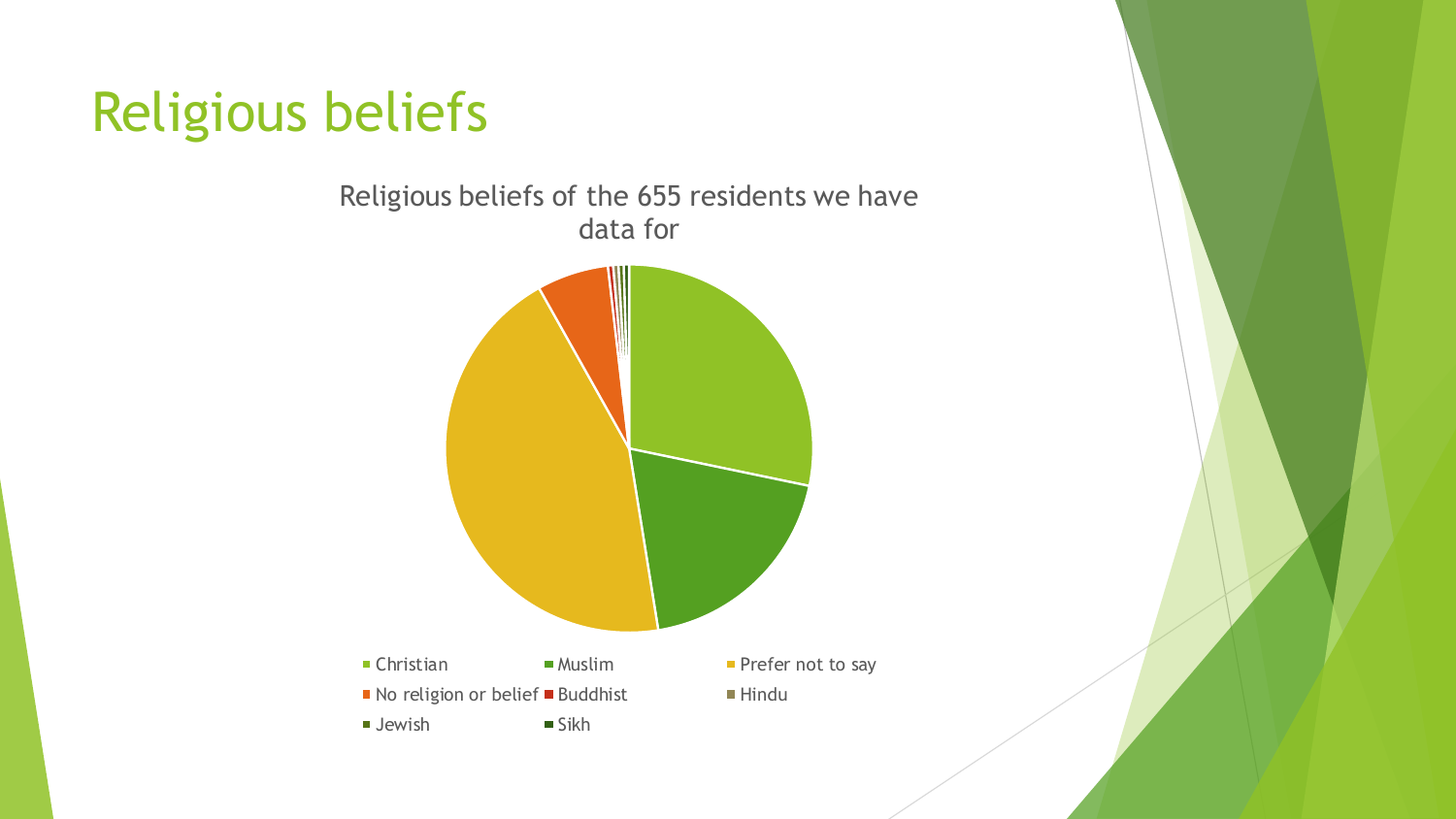# Religious beliefs

Religious beliefs of the 655 residents we have data for

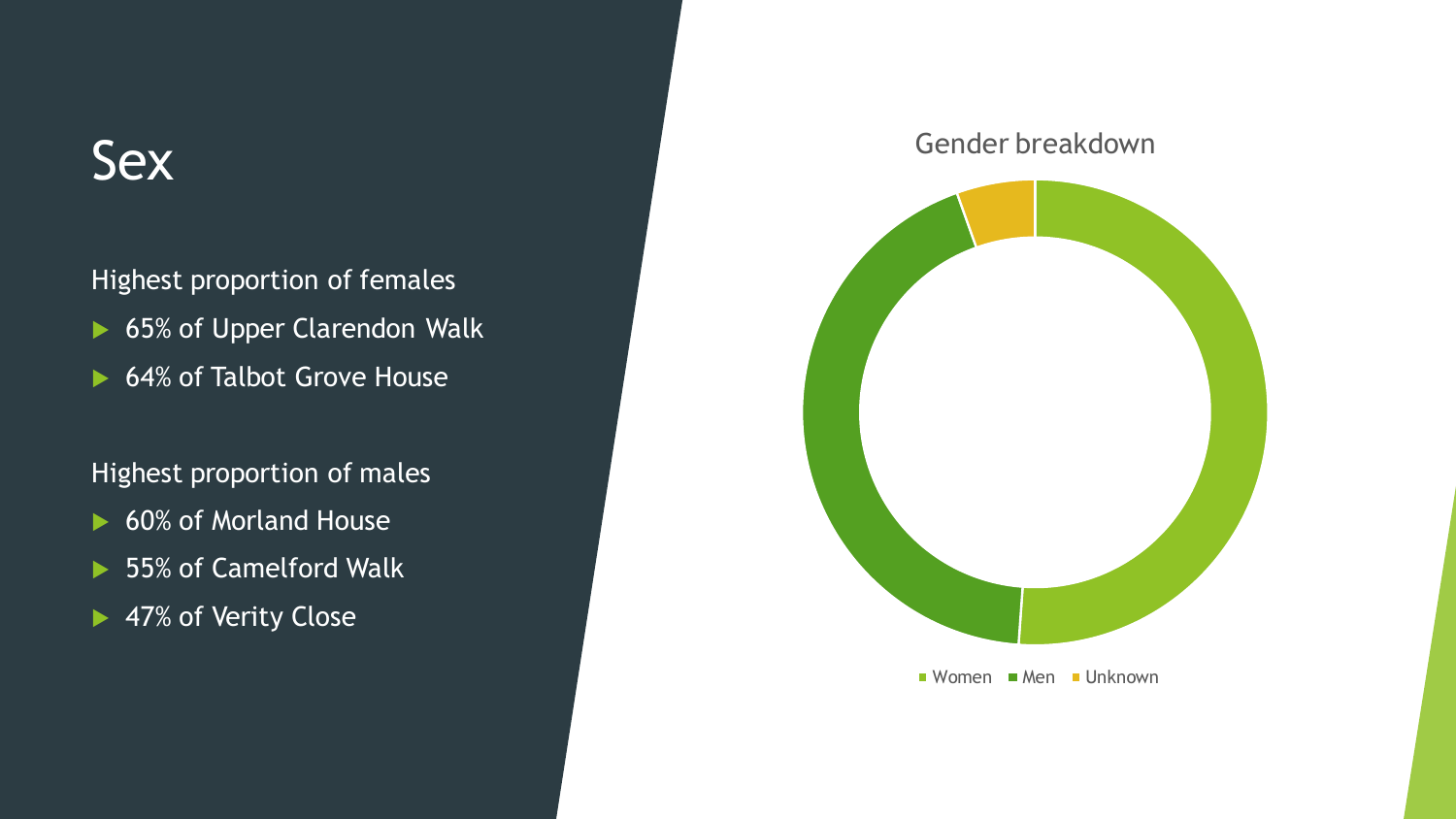#### **Sex**

Highest proportion of females

- ▶ 65% of Upper Clarendon Walk
- ▶ 64% of Talbot Grove House

#### Highest proportion of males

- ▶ 60% of Morland House
- ▶ 55% of Camelford Walk
- ▶ 47% of Verity Close

#### Gender breakdown



 $\blacksquare$  Women  $\blacksquare$  Men  $\blacksquare$  Unknown